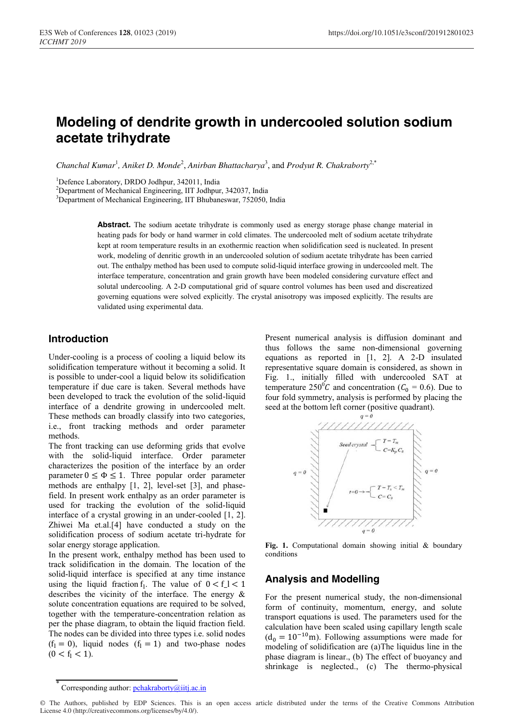# **Modeling of dendrite growth in undercooled solution sodium acetate trihydrate**

Chanchal Kumar<sup>1</sup>, Aniket D. Monde<sup>2</sup>, Anirban Bhattacharya<sup>3</sup>, and Prodyut R. Chakraborty<sup>2,\*</sup>

<sup>1</sup>Defence Laboratory, DRDO Jodhpur, 342011, India

<sup>2</sup>Department of Mechanical Engineering, IIT Jodhpur, 342037, India

<sup>3</sup>Department of Mechanical Engineering, IIT Bhubaneswar, 752050, India

Abstract. The sodium acetate trihydrate is commonly used as energy storage phase change material in heating pads for body or hand warmer in cold climates. The undercooled melt of sodium acetate trihydrate kept at room temperature results in an exothermic reaction when solidification seed is nucleated. In present work, modeling of denritic growth in an undercooled solution of sodium acetate trihydrate has been carried out. The enthalpy method has been used to compute solid-liquid interface growing in undercooled melt. The interface temperature, concentration and grain growth have been modeled considering curvature effect and solutal undercooling. A 2-D computational grid of square control volumes has been used and discreatized governing equations were solved explicitly. The crystal anisotropy was imposed explicitly. The results are validated using experimental data.

#### **Introduction**

Under-cooling is a process of cooling a liquid below its solidification temperature without it becoming a solid. It is possible to under-cool a liquid below its solidification temperature if due care is taken. Several methods have been developed to track the evolution of the solid-liquid interface of a dendrite growing in undercooled melt. These methods can broadly classify into two categories, i.e., front tracking methods and order parameter methods.

The front tracking can use deforming grids that evolve with the solid-liquid interface. Order parameter characterizes the position of the interface by an order parameter  $0 \le \Phi \le 1$ . Three popular order parameter methods are enthalpy [1, 2], level-set [3], and phasefield. In present work enthalpy as an order parameter is used for tracking the evolution of the solid-liquid interface of a crystal growing in an under-cooled [1, 2]. Zhiwei Ma et.al.[4] have conducted a study on the solidification process of sodium acetate tri-hydrate for solar energy storage application.

In the present work, enthalpy method has been used to track solidification in the domain. The location of the solid-liquid interface is specified at any time instance using the liquid fraction  $f_1$ . The value of  $0 < f_1 < 1$ describes the vicinity of the interface. The energy & solute concentration equations are required to be solved, together with the temperature-concentration relation as per the phase diagram, to obtain the liquid fraction field. The nodes can be divided into three types i.e. solid nodes  $(f<sub>l</sub> = 0)$ , liquid nodes  $(f<sub>l</sub> = 1)$  and two-phase nodes  $(0 < f<sub>1</sub> < 1).$ 

Present numerical analysis is diffusion dominant and thus follows the same non-dimensional governing equations as reported in [1, 2]. A 2-D insulated representative square domain is considered, as shown in Fig. 1., initially filled with undercooled SAT at temperature 250<sup>°</sup>C and concentration ( $C_0 = 0.6$ ). Due to four fold symmetry, analysis is performed by placing the seed at the bottom left corner (positive quadrant).



**Fig. 1.** Computational domain showing initial & boundary conditions

### **Analysis and Modelling**

For the present numerical study, the non-dimensional form of continuity, momentum, energy, and solute transport equations is used. The parameters used for the calculation have been scaled using capillary length scale  $(d_0 = 10^{-10}$ m). Following assumptions were made for modeling of solidification are (a)The liquidus line in the phase diagram is linear., (b) The effect of buoyancy and shrinkage is neglected., (c) The thermo-physical

<sup>\*</sup> Corresponding author: pchakraborty@iitj.ac.in

<sup>©</sup> The Authors, published by EDP Sciences. This is an open access article distributed under the terms of the Creative Commons Attribution License 4.0 (http://creativecommons.org/licenses/by/4.0/).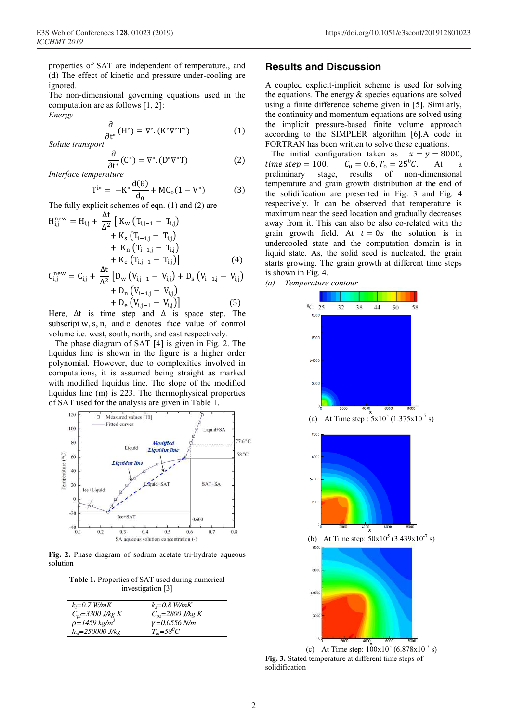properties of SAT are independent of temperature., and (d) The effect of kinetic and pressure under-cooling are ignored.

The non-dimensional governing equations used in the computation are as follows [1, 2]:

*Energy* 

$$
\frac{\partial}{\partial t^*}(H^*) = \nabla^*. (K^* \nabla^* T^*)
$$
 (1)

*Solute transport*

$$
\frac{\partial}{\partial t^*}(C^*) = \nabla^*. (D^* \nabla^* T)
$$
 (2)

∂t *Interface temperature* 

$$
T^{i*} = -K^* \frac{d(\theta)}{d_0} + MC_0(1 - V^*)
$$
 (3)

The fully explicit schemes of eqn. (1) and (2) are

$$
H_{i,j}^{\text{new}} = H_{i,j} + \frac{\Delta t}{\Delta^2} \left[ K_{\text{w}} \left( T_{i,j-1} - T_{i,j} \right) + K_{\text{s}} \left( T_{i-1,j} - T_{i,j} \right) + K_{\text{n}} \left( T_{i+1,j} - T_{i,j} \right) + K_{\text{e}} \left( T_{i,j+1} - T_{i,j} \right) \right]
$$
\n
$$
+ \Delta t \tag{4}
$$

$$
C_{i,j}^{\text{new}} = C_{i,j} + \frac{\Delta t}{\Delta^2} \left[ D_{\text{w}} \left( V_{i,j-1} - V_{i,j} \right) + D_{\text{s}} \left( V_{i-1,j} - V_{i,j} \right) + D_{\text{n}} \left( V_{i+1,j} - V_{i,j} \right) + D_{\text{e}} \left( V_{i,j+1} - V_{i,j} \right) \right]
$$
(5)

Here,  $\Delta t$  is time step and  $\Delta$  is space step. The subscript w, s, n, and e denotes face value of control volume i.e. west, south, north, and east respectively.

The phase diagram of SAT [4] is given in Fig. 2. The liquidus line is shown in the figure is a higher order polynomial. However, due to complexities involved in computations, it is assumed being straight as marked with modified liquidus line. The slope of the modified liquidus line (m) is 223. The thermophysical properties of SAT used for the analysis are given in Table 1.



**Fig. 2.** Phase diagram of sodium acetate tri-hydrate aqueous solution

**Table 1.** Properties of SAT used during numerical investigation [3]

| $k_1 = 0.7$ W/mK               | $k_{s} = 0.8$ W/mK    |
|--------------------------------|-----------------------|
| $C_{nl} = 3300$ J/kg K         | $C_{ps}$ =2800 J/kg K |
| $\rho = 1459 \text{ kg/m}^3$   | $\gamma = 0.0556$ N/m |
| $h_{sl} = 250000 \text{ J/kg}$ | $T_m = 58^{0}C$       |

#### **Results and Discussion**

A coupled explicit-implicit scheme is used for solving the equations. The energy & species equations are solved using a finite difference scheme given in [5]. Similarly, the continuity and momentum equations are solved using the implicit pressure-based finite volume approach according to the SIMPLER algorithm [6].A code in FORTRAN has been written to solve these equations.

The initial configuration taken as  $x = y = 8000$ ,<br>time step = 100,  $C_0 = 0.6, T_0 = 25^{\circ}C$ . At a time step = 100,  $C_0 = 0.6, T_0 = 25^{\circ}C$ .<br>preliminary stage, results of non-At a of non-dimensional temperature and grain growth distribution at the end of the solidification are presented in Fig. 3 and Fig. 4 respectively. It can be observed that temperature is maximum near the seed location and gradually decreases away from it. This can also be also co-related with the grain growth field. At  $t = 0s$  the solution is in undercooled state and the computation domain is in liquid state. As, the solid seed is nucleated, the grain starts growing. The grain growth at different time steps is shown in Fig. 4.

*(a) Temperature contour* 



(c) At Time step:  $100x10^5 (6.878x10^{-7} s)$ **Fig. 3.** Stated temperature at different time steps of solidification